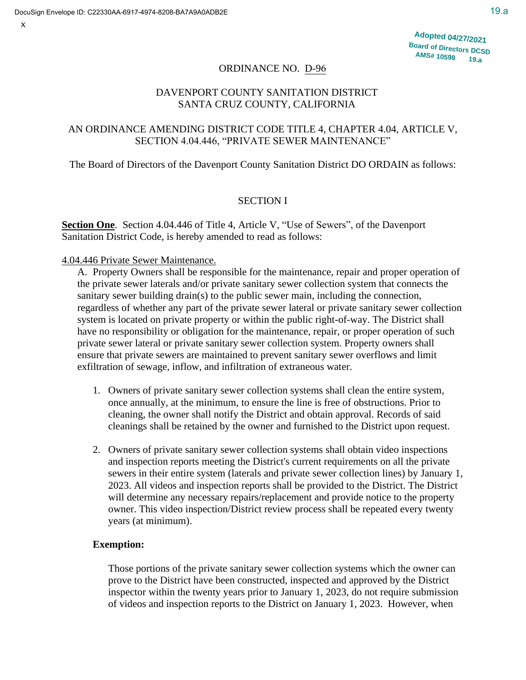X

# ORDINANCE NO. D-96

# DAVENPORT COUNTY SANITATION DISTRICT SANTA CRUZ COUNTY, CALIFORNIA

# AN ORDINANCE AMENDING DISTRICT CODE TITLE 4, CHAPTER 4.04, ARTICLE V, SECTION 4.04.446, "PRIVATE SEWER MAINTENANCE"

# The Board of Directors of the Davenport County Sanitation District DO ORDAIN as follows:

# SECTION I

**Section One**. Section 4.04.446 of Title 4, Article V, "Use of Sewers", of the Davenport Sanitation District Code, is hereby amended to read as follows:

# 4.04.446 Private Sewer Maintenance.

A. Property Owners shall be responsible for the maintenance, repair and proper operation of the private sewer laterals and/or private sanitary sewer collection system that connects the sanitary sewer building drain(s) to the public sewer main, including the connection, regardless of whether any part of the private sewer lateral or private sanitary sewer collection system is located on private property or within the public right-of-way. The District shall have no responsibility or obligation for the maintenance, repair, or proper operation of such private sewer lateral or private sanitary sewer collection system. Property owners shall ensure that private sewers are maintained to prevent sanitary sewer overflows and limit exfiltration of sewage, inflow, and infiltration of extraneous water.

- 1. Owners of private sanitary sewer collection systems shall clean the entire system, once annually, at the minimum, to ensure the line is free of obstructions. Prior to cleaning, the owner shall notify the District and obtain approval. Records of said cleanings shall be retained by the owner and furnished to the District upon request.
- 2. Owners of private sanitary sewer collection systems shall obtain video inspections and inspection reports meeting the District's current requirements on all the private sewers in their entire system (laterals and private sewer collection lines) by January 1, 2023. All videos and inspection reports shall be provided to the District. The District will determine any necessary repairs/replacement and provide notice to the property owner. This video inspection/District review process shall be repeated every twenty years (at minimum).

# **Exemption:**

Those portions of the private sanitary sewer collection systems which the owner can prove to the District have been constructed, inspected and approved by the District inspector within the twenty years prior to January 1, 2023, do not require submission of videos and inspection reports to the District on January 1, 2023. However, when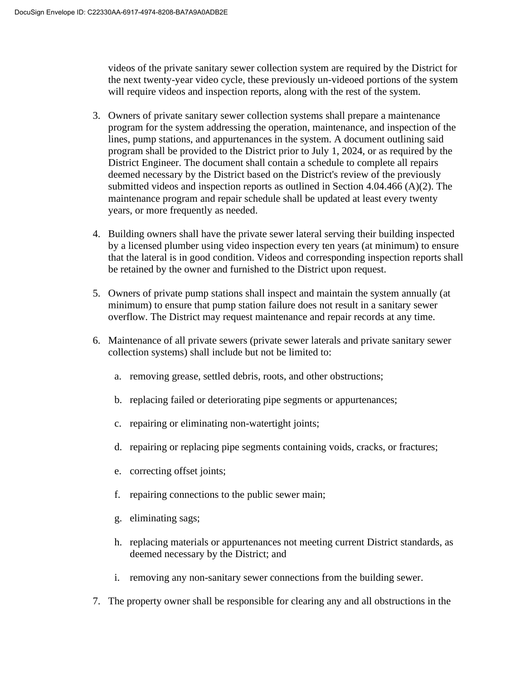videos of the private sanitary sewer collection system are required by the District for the next twenty-year video cycle, these previously un-videoed portions of the system will require videos and inspection reports, along with the rest of the system.

- 3. Owners of private sanitary sewer collection systems shall prepare a maintenance program for the system addressing the operation, maintenance, and inspection of the lines, pump stations, and appurtenances in the system. A document outlining said program shall be provided to the District prior to July 1, 2024, or as required by the District Engineer. The document shall contain a schedule to complete all repairs deemed necessary by the District based on the District's review of the previously submitted videos and inspection reports as outlined in Section 4.04.466 (A)(2). The maintenance program and repair schedule shall be updated at least every twenty years, or more frequently as needed.
- 4. Building owners shall have the private sewer lateral serving their building inspected by a licensed plumber using video inspection every ten years (at minimum) to ensure that the lateral is in good condition. Videos and corresponding inspection reports shall be retained by the owner and furnished to the District upon request.
- 5. Owners of private pump stations shall inspect and maintain the system annually (at minimum) to ensure that pump station failure does not result in a sanitary sewer overflow. The District may request maintenance and repair records at any time.
- 6. Maintenance of all private sewers (private sewer laterals and private sanitary sewer collection systems) shall include but not be limited to:
	- a. removing grease, settled debris, roots, and other obstructions;
	- b. replacing failed or deteriorating pipe segments or appurtenances;
	- c. repairing or eliminating non-watertight joints;
	- d. repairing or replacing pipe segments containing voids, cracks, or fractures;
	- e. correcting offset joints;
	- f. repairing connections to the public sewer main;
	- g. eliminating sags;
	- h. replacing materials or appurtenances not meeting current District standards, as deemed necessary by the District; and
	- i. removing any non-sanitary sewer connections from the building sewer.
- 7. The property owner shall be responsible for clearing any and all obstructions in the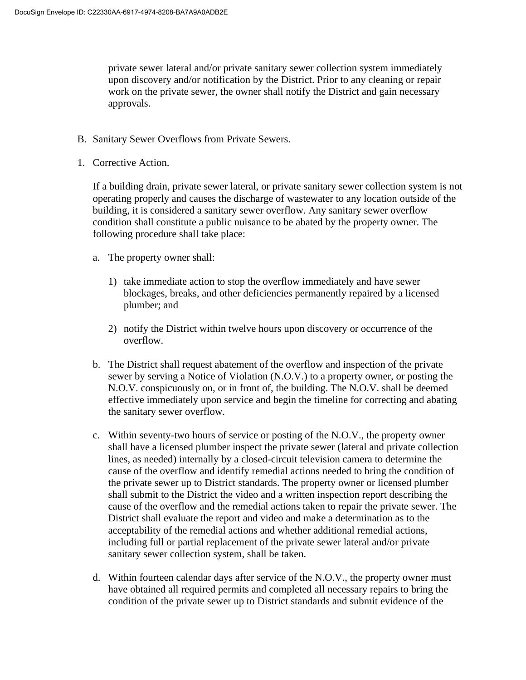private sewer lateral and/or private sanitary sewer collection system immediately upon discovery and/or notification by the District. Prior to any cleaning or repair work on the private sewer, the owner shall notify the District and gain necessary approvals.

- B. Sanitary Sewer Overflows from Private Sewers.
- 1. Corrective Action.

If a building drain, private sewer lateral, or private sanitary sewer collection system is not operating properly and causes the discharge of wastewater to any location outside of the building, it is considered a sanitary sewer overflow. Any sanitary sewer overflow condition shall constitute a public nuisance to be abated by the property owner. The following procedure shall take place:

- a. The property owner shall:
	- 1) take immediate action to stop the overflow immediately and have sewer blockages, breaks, and other deficiencies permanently repaired by a licensed plumber; and
	- 2) notify the District within twelve hours upon discovery or occurrence of the overflow.
- b. The District shall request abatement of the overflow and inspection of the private sewer by serving a Notice of Violation (N.O.V.) to a property owner, or posting the N.O.V. conspicuously on, or in front of, the building. The N.O.V. shall be deemed effective immediately upon service and begin the timeline for correcting and abating the sanitary sewer overflow.
- c. Within seventy-two hours of service or posting of the N.O.V., the property owner shall have a licensed plumber inspect the private sewer (lateral and private collection lines, as needed) internally by a closed-circuit television camera to determine the cause of the overflow and identify remedial actions needed to bring the condition of the private sewer up to District standards. The property owner or licensed plumber shall submit to the District the video and a written inspection report describing the cause of the overflow and the remedial actions taken to repair the private sewer. The District shall evaluate the report and video and make a determination as to the acceptability of the remedial actions and whether additional remedial actions, including full or partial replacement of the private sewer lateral and/or private sanitary sewer collection system, shall be taken.
- d. Within fourteen calendar days after service of the N.O.V., the property owner must have obtained all required permits and completed all necessary repairs to bring the condition of the private sewer up to District standards and submit evidence of the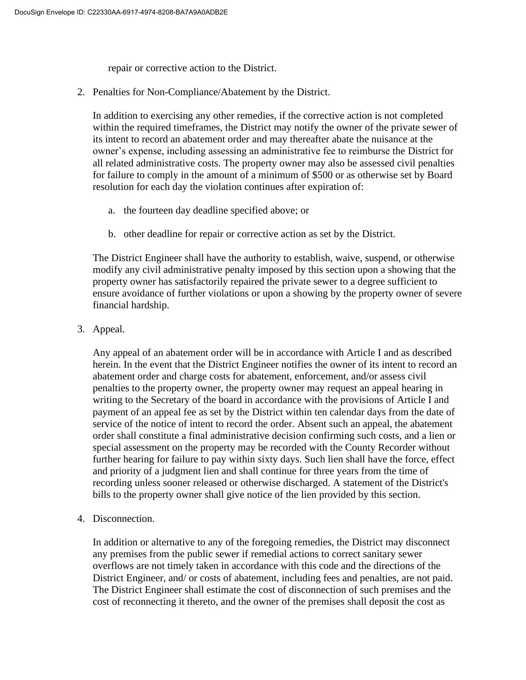repair or corrective action to the District.

2. Penalties for Non-Compliance/Abatement by the District.

In addition to exercising any other remedies, if the corrective action is not completed within the required timeframes, the District may notify the owner of the private sewer of its intent to record an abatement order and may thereafter abate the nuisance at the owner's expense, including assessing an administrative fee to reimburse the District for all related administrative costs. The property owner may also be assessed civil penalties for failure to comply in the amount of a minimum of \$500 or as otherwise set by Board resolution for each day the violation continues after expiration of:

- a. the fourteen day deadline specified above; or
- b. other deadline for repair or corrective action as set by the District.

The District Engineer shall have the authority to establish, waive, suspend, or otherwise modify any civil administrative penalty imposed by this section upon a showing that the property owner has satisfactorily repaired the private sewer to a degree sufficient to ensure avoidance of further violations or upon a showing by the property owner of severe financial hardship.

3. Appeal.

Any appeal of an abatement order will be in accordance with Article I and as described herein. In the event that the District Engineer notifies the owner of its intent to record an abatement order and charge costs for abatement, enforcement, and/or assess civil penalties to the property owner, the property owner may request an appeal hearing in writing to the Secretary of the board in accordance with the provisions of Article I and payment of an appeal fee as set by the District within ten calendar days from the date of service of the notice of intent to record the order. Absent such an appeal, the abatement order shall constitute a final administrative decision confirming such costs, and a lien or special assessment on the property may be recorded with the County Recorder without further hearing for failure to pay within sixty days. Such lien shall have the force, effect and priority of a judgment lien and shall continue for three years from the time of recording unless sooner released or otherwise discharged. A statement of the District's bills to the property owner shall give notice of the lien provided by this section.

4. Disconnection.

In addition or alternative to any of the foregoing remedies, the District may disconnect any premises from the public sewer if remedial actions to correct sanitary sewer overflows are not timely taken in accordance with this code and the directions of the District Engineer, and/ or costs of abatement, including fees and penalties, are not paid. The District Engineer shall estimate the cost of disconnection of such premises and the cost of reconnecting it thereto, and the owner of the premises shall deposit the cost as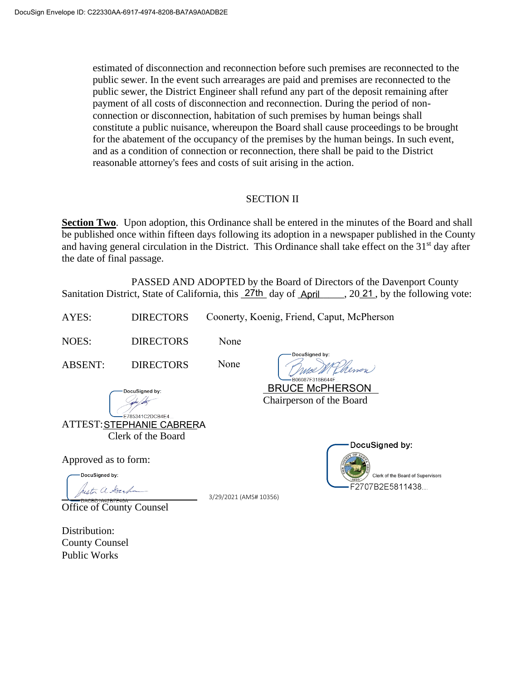estimated of disconnection and reconnection before such premises are reconnected to the public sewer. In the event such arrearages are paid and premises are reconnected to the public sewer, the District Engineer shall refund any part of the deposit remaining after payment of all costs of disconnection and reconnection. During the period of nonconnection or disconnection, habitation of such premises by human beings shall constitute a public nuisance, whereupon the Board shall cause proceedings to be brought for the abatement of the occupancy of the premises by the human beings. In such event, and as a condition of connection or reconnection, there shall be paid to the District reasonable attorney's fees and costs of suit arising in the action.

## SECTION II

**Section Two.** Upon adoption, this Ordinance shall be entered in the minutes of the Board and shall be published once within fifteen days following its adoption in a newspaper published in the County and having general circulation in the District. This Ordinance shall take effect on the 31<sup>st</sup> day after the date of final passage.

PASSED AND ADOPTED by the Board of Directors of the Davenport County Sanitation District, State of California, this 27th day of April 1, 2021, by the following vote:

| AYES:      |                  | DIRECTORS Coonerty, Koenig, Friend, Caput, McPherson |  |
|------------|------------------|------------------------------------------------------|--|
| NOES:      | <b>DIRECTORS</b> | <b>None</b>                                          |  |
| $\sqrt{2}$ | $P_{\rm T}$      | DocuSigned by:<br>$\mathbf{r}$                       |  |

ABSENT: DIRECTORS None

DocuSianed by:

moe MEhenen 06087F318B644F

Chairperson of the Board BRUCE McPHERSON

F785341C2DCB4F4 ATTEST: STEPHANIE CABRERA Clerk of the Board

Approved as to form:

DocuSianed by: urti a Gerh

Office of County Counsel

3/29/2021 (AMS# 10356)



Distribution: County Counsel Public Works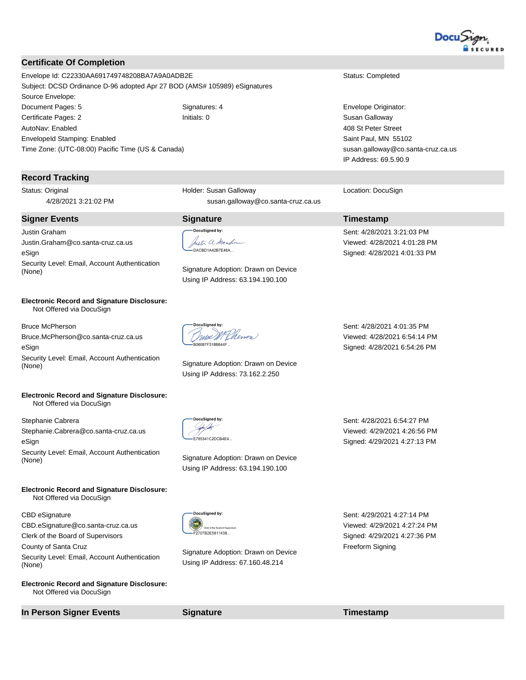

### **Certificate Of Completion**

Envelope Id: C22330AA691749748208BA7A9A0ADB2E Status: Completed Subject: DCSD Ordinance D-96 adopted Apr 27 BOD (AMS# 105989) eSignatures Source Envelope: Document Pages: 5 Signatures: 4 Signatures: 4 Envelope Originator: Certificate Pages: 2 **Initials: 0** Initials: 0 Susan Galloway AutoNav: Enabled EnvelopeId Stamping: Enabled Time Zone: (UTC-08:00) Pacific Time (US & Canada)

#### **Record Tracking**

Status: Original 4/28/2021 3:21:02 PM

#### **Signer Events Signature Timestamp**

Justin Graham Justin.Graham@co.santa-cruz.ca.us eSign Security Level: Email, Account Authentication Signature Adoption: Drawn on Device (None)

#### **Electronic Record and Signature Disclosure:**  Not Offered via DocuSign

Bruce McPherson Bruce.McPherson@co.santa-cruz.ca.us eSign Security Level: Email, Account Authentication Signature Adoption: Drawn on Device<br>(None) Signature Adoption: Drawn on Device

#### **Electronic Record and Signature Disclosure:**  Not Offered via DocuSign

Stephanie Cabrera Stephanie.Cabrera@co.santa-cruz.ca.us eSign Security Level: Email, Account Authentication Signature Adoption: Drawn on Device (None)

**Electronic Record and Signature Disclosure:**  Not Offered via DocuSign

#### CBD eSignature

CBD.eSignature@co.santa-cruz.ca.us Clerk of the Board of Supervisors

County of Santa Cruz

Security Level: Email, Account Authentication (None)

**Electronic Record and Signature Disclosure:**  Not Offered via DocuSign

**In Person Signer Events Signature Timestamp**

Holder: Susan Galloway susan.galloway@co.santa-cruz.ca.us

# uSigned by:

hester a Gerham .<br>•DACBD1A42B7E46A...

Using IP Address: 63.194.190.100

mee MEhenen 6087F318B644F

Using IP Address: 73.162.2.250

408 St Peter Street Saint Paul, MN 55102 susan.galloway@co.santa-cruz.ca.us IP Address: 69.5.90.9

Location: DocuSign

Sent: 4/28/2021 3:21:03 PM Viewed: 4/28/2021 4:01:28 PM Signed: 4/28/2021 4:01:33 PM

Sent: 4/28/2021 4:01:35 PM Viewed: 4/28/2021 6:54:14 PM Signed: 4/28/2021 6:54:26 PM

DocuSigned by: sport for F785341C2DCB4F4

Using IP Address: 63.194.190.100

Sent: 4/28/2021 6:54:27 PM Viewed: 4/29/2021 4:26:56 PM Signed: 4/29/2021 4:27:13 PM

-DocuSianed by: =<br>=2707B2E5811438...

Signature Adoption: Drawn on Device Using IP Address: 67.160.48.214

Sent: 4/29/2021 4:27:14 PM Viewed: 4/29/2021 4:27:24 PM Signed: 4/29/2021 4:27:36 PM Freeform Signing